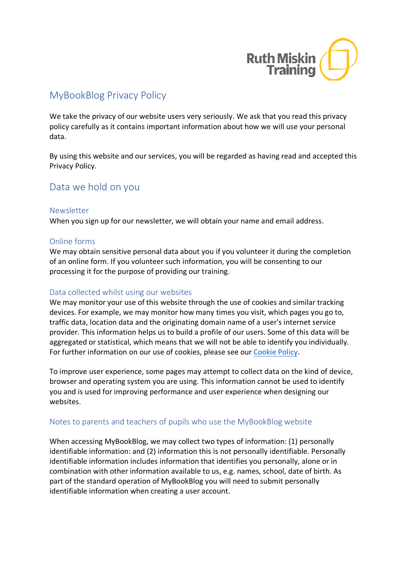

# MyBookBlog Privacy Policy

We take the privacy of our website users very seriously. We ask that you read this privacy policy carefully as it contains important information about how we will use your personal data.

By using this website and our services, you will be regarded as having read and accepted this Privacy Policy.

## Data we hold on you

#### Newsletter

When you sign up for our newsletter, we will obtain your name and email address.

### Online forms

We may obtain sensitive personal data about you if you volunteer it during the completion of an online form. If you volunteer such information, you will be consenting to our processing it for the purpose of providing our training.

### Data collected whilst using our websites

We may monitor your use of this website through the use of cookies and similar tracking devices. For example, we may monitor how many times you visit, which pages you go to, traffic data, location data and the originating domain name of a user's internet service provider. This information helps us to build a profile of our users. Some of this data will be aggregated or statistical, which means that we will not be able to identify you individually. For further information on our use of cookies, please see our Cookie Policy.

To improve user experience, some pages may attempt to collect data on the kind of device, browser and operating system you are using. This information cannot be used to identify you and is used for improving performance and user experience when designing our websites.

### Notes to parents and teachers of pupils who use the MyBookBlog website

When accessing MyBookBlog, we may collect two types of information: (1) personally identifiable information: and (2) information this is not personally identifiable. Personally identifiable information includes information that identifies you personally, alone or in combination with other information available to us, e.g. names, school, date of birth. As part of the standard operation of MyBookBlog you will need to submit personally identifiable information when creating a user account.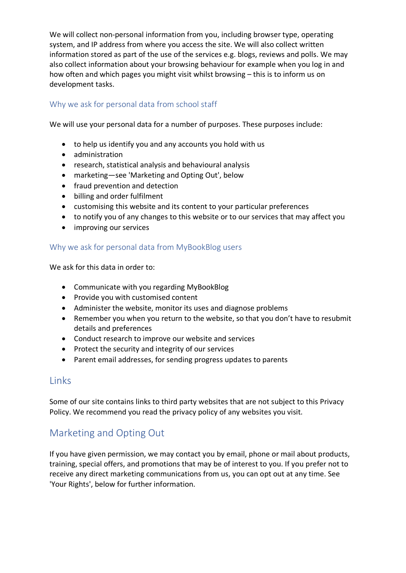We will collect non-personal information from you, including browser type, operating system, and IP address from where you access the site. We will also collect written information stored as part of the use of the services e.g. blogs, reviews and polls. We may also collect information about your browsing behaviour for example when you log in and how often and which pages you might visit whilst browsing – this is to inform us on development tasks.

### Why we ask for personal data from school staff

We will use your personal data for a number of purposes. These purposes include:

- to help us identify you and any accounts you hold with us
- administration
- research, statistical analysis and behavioural analysis
- marketing—see 'Marketing and Opting Out', below
- fraud prevention and detection
- billing and order fulfilment
- customising this website and its content to your particular preferences
- to notify you of any changes to this website or to our services that may affect you
- improving our services

### Why we ask for personal data from MyBookBlog users

We ask for this data in order to:

- Communicate with you regarding MyBookBlog
- Provide you with customised content
- Administer the website, monitor its uses and diagnose problems
- Remember you when you return to the website, so that you don't have to resubmit details and preferences
- Conduct research to improve our website and services
- Protect the security and integrity of our services
- Parent email addresses, for sending progress updates to parents

## Links

Some of our site contains links to third party websites that are not subject to this Privacy Policy. We recommend you read the privacy policy of any websites you visit.

# Marketing and Opting Out

If you have given permission, we may contact you by email, phone or mail about products, training, special offers, and promotions that may be of interest to you. If you prefer not to receive any direct marketing communications from us, you can opt out at any time. See 'Your Rights', below for further information.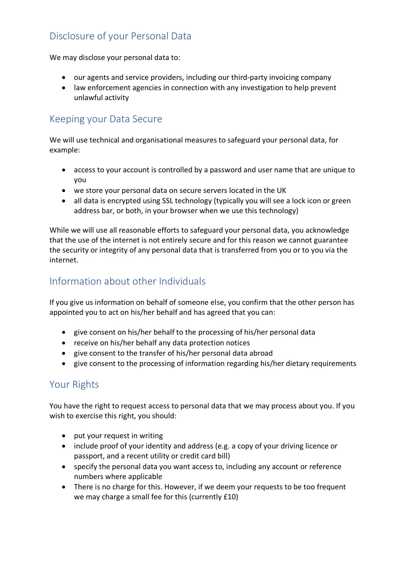# Disclosure of your Personal Data

We may disclose your personal data to:

- our agents and service providers, including our third-party invoicing company
- law enforcement agencies in connection with any investigation to help prevent unlawful activity

# Keeping your Data Secure

We will use technical and organisational measures to safeguard your personal data, for example:

- access to your account is controlled by a password and user name that are unique to you
- we store your personal data on secure servers located in the UK
- all data is encrypted using SSL technology (typically you will see a lock icon or green address bar, or both, in your browser when we use this technology)

While we will use all reasonable efforts to safeguard your personal data, you acknowledge that the use of the internet is not entirely secure and for this reason we cannot guarantee the security or integrity of any personal data that is transferred from you or to you via the internet.

# Information about other Individuals

If you give us information on behalf of someone else, you confirm that the other person has appointed you to act on his/her behalf and has agreed that you can:

- give consent on his/her behalf to the processing of his/her personal data
- receive on his/her behalf any data protection notices
- give consent to the transfer of his/her personal data abroad
- give consent to the processing of information regarding his/her dietary requirements

## Your Rights

You have the right to request access to personal data that we may process about you. If you wish to exercise this right, you should:

- put your request in writing
- include proof of your identity and address (e.g. a copy of your driving licence or passport, and a recent utility or credit card bill)
- specify the personal data you want access to, including any account or reference numbers where applicable
- There is no charge for this. However, if we deem your requests to be too frequent we may charge a small fee for this (currently £10)